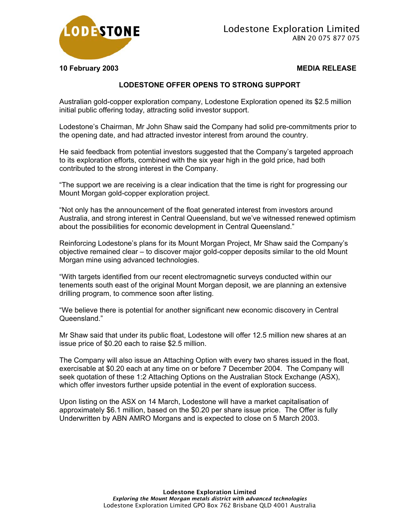

**10 February 2003 MEDIA RELEASE** 

## **LODESTONE OFFER OPENS TO STRONG SUPPORT**

Australian gold-copper exploration company, Lodestone Exploration opened its \$2.5 million initial public offering today, attracting solid investor support.

Lodestone's Chairman, Mr John Shaw said the Company had solid pre-commitments prior to the opening date, and had attracted investor interest from around the country.

He said feedback from potential investors suggested that the Company's targeted approach to its exploration efforts, combined with the six year high in the gold price, had both contributed to the strong interest in the Company.

"The support we are receiving is a clear indication that the time is right for progressing our Mount Morgan gold-copper exploration project.

"Not only has the announcement of the float generated interest from investors around Australia, and strong interest in Central Queensland, but we've witnessed renewed optimism about the possibilities for economic development in Central Queensland."

Reinforcing Lodestone's plans for its Mount Morgan Project, Mr Shaw said the Company's objective remained clear – to discover major gold-copper deposits similar to the old Mount Morgan mine using advanced technologies.

"With targets identified from our recent electromagnetic surveys conducted within our tenements south east of the original Mount Morgan deposit, we are planning an extensive drilling program, to commence soon after listing.

"We believe there is potential for another significant new economic discovery in Central Queensland."

Mr Shaw said that under its public float, Lodestone will offer 12.5 million new shares at an issue price of \$0.20 each to raise \$2.5 million.

The Company will also issue an Attaching Option with every two shares issued in the float, exercisable at \$0.20 each at any time on or before 7 December 2004. The Company will seek quotation of these 1:2 Attaching Options on the Australian Stock Exchange (ASX), which offer investors further upside potential in the event of exploration success.

Upon listing on the ASX on 14 March, Lodestone will have a market capitalisation of approximately \$6.1 million, based on the \$0.20 per share issue price. The Offer is fully Underwritten by ABN AMRO Morgans and is expected to close on 5 March 2003.